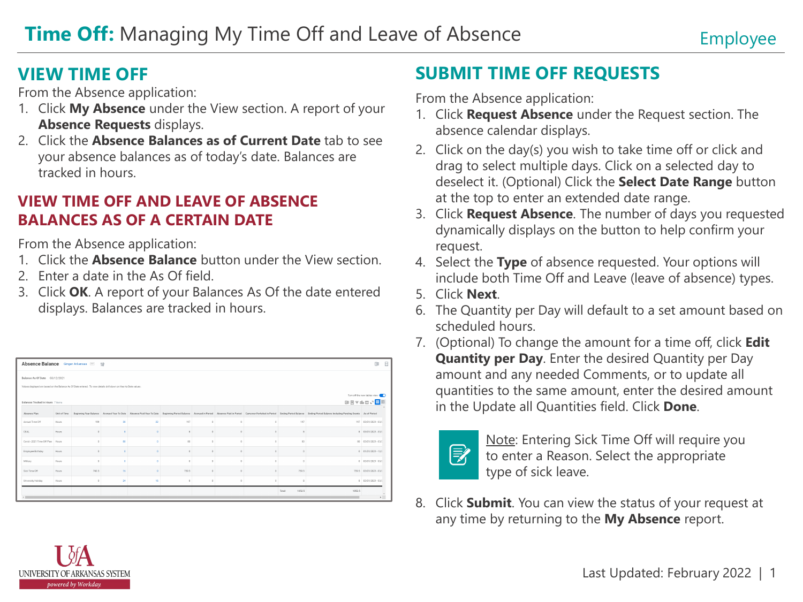### **VIEW TIME OFF**

From the Absence application:

- 1. Click **My Absence** under the View section. A report of your **Absence Requests** displays.
- 2. Click the **Absence Balances as of Current Date** tab to see your absence balances as of today's date. Balances are tracked in hours.

#### **VIEW TIME OFF AND LEAVE OF ABSENCE BALANCES AS OF A CERTAIN DATE**

From the Absence application:

- 1. Click the **Absence Balance** button under the View section.
- 2. Enter a date in the As Of field.
- 3. Click **OK**. A report of your Balances As Of the date entered displays. Balances are tracked in hours.

| Absence Balance Ginger Arkansas  all                                                                             |                                   |              |          |          |         |       |            |          |          |                  | 日<br>团                                                                                                                                                                                                                         |                         |  |  |
|------------------------------------------------------------------------------------------------------------------|-----------------------------------|--------------|----------|----------|---------|-------|------------|----------|----------|------------------|--------------------------------------------------------------------------------------------------------------------------------------------------------------------------------------------------------------------------------|-------------------------|--|--|
| Balance As Of Date 03/12/2021                                                                                    |                                   |              |          |          |         |       |            |          |          |                  |                                                                                                                                                                                                                                |                         |  |  |
| Values displayed are based on the Balance As Of Date entered. To view details drill down on Year to Date values. |                                   |              |          |          |         |       |            |          |          |                  |                                                                                                                                                                                                                                |                         |  |  |
|                                                                                                                  | Turn off the new tables view (CD) |              |          |          |         |       |            |          |          |                  |                                                                                                                                                                                                                                |                         |  |  |
|                                                                                                                  | Balances Tracked in Hours 7 items |              |          |          |         |       |            |          |          |                  | 日日マルロい田田                                                                                                                                                                                                                       |                         |  |  |
|                                                                                                                  | Absence Plan                      | Unit of Time |          |          |         |       |            |          |          |                  | Beginning Year Balance Accrued Year To Date Absence Paid Year To Date Beginning Period Balance Accrued in Period Absence Paid in Period Camrover Forfeited in Period Ending Period Balance Indian Period Balance Including Per |                         |  |  |
|                                                                                                                  | Annual Time Off                   | Hours        | 199      | 30       | $^{22}$ | 197   | $^{\circ}$ | $\circ$  | $\sim$   | 197              |                                                                                                                                                                                                                                | 197 03/01/2021 - 03/2   |  |  |
|                                                                                                                  | CEAL.                             | Hours.       |          |          |         |       | $\alpha$   | $\sim$   | ×        |                  |                                                                                                                                                                                                                                | 8 03/01/2021 - 03/2     |  |  |
|                                                                                                                  | Covid - 2021 Time Off Plan        | Hours        |          | 80       |         | 80    | $\circ$    | i O      | n        | 80               |                                                                                                                                                                                                                                | 80 03/01/2021 - 03/5    |  |  |
|                                                                                                                  | Employee Birthday                 | Hours        |          | Ð        |         |       | $\alpha$   | $\sim$   | c.       |                  |                                                                                                                                                                                                                                | $0 - 01/01/2021 - 12/2$ |  |  |
|                                                                                                                  | Miltery                           | Hours        | $\sim$   | $\Delta$ |         | ó     | $\Omega$   | $\theta$ | $\alpha$ |                  |                                                                                                                                                                                                                                | $0 - 03/01/2021 - 03/2$ |  |  |
|                                                                                                                  | Sick Time Off                     | Hours        | 743.5    | 16       |         | 759.5 | $\alpha$   | $\alpha$ | $\sim$   | 759.5            |                                                                                                                                                                                                                                | 759.5 03/01/2021 - 03/2 |  |  |
|                                                                                                                  | University Holiday                | Hours.       | $\Omega$ | 24       | 16      |       | $\Omega$   | $\Omega$ | $\alpha$ |                  |                                                                                                                                                                                                                                | 8 03/01/2021 - 03/2     |  |  |
|                                                                                                                  |                                   |              |          |          |         |       |            |          |          | 1052.5<br>Total: | 1052.5                                                                                                                                                                                                                         |                         |  |  |
|                                                                                                                  |                                   |              |          |          |         |       |            |          |          |                  | $\lambda$                                                                                                                                                                                                                      |                         |  |  |

# **SUBMIT TIME OFF REQUESTS**

From the Absence application:

- 1. Click **Request Absence** under the Request section. The absence calendar displays.
- 2. Click on the day(s) you wish to take time off or click and drag to select multiple days. Click on a selected day to deselect it. (Optional) Click the **Select Date Range** button at the top to enter an extended date range.
- 3. Click **Request Absence**. The number of days you requested dynamically displays on the button to help confirm your request.
- 4. Select the **Type** of absence requested. Your options will include both Time Off and Leave (leave of absence) types.
- 5. Click **Next**.
- 6. The Quantity per Day will default to a set amount based on scheduled hours.
- 7. (Optional) To change the amount for a time off, click **Edit Quantity per Day**. Enter the desired Quantity per Day amount and any needed Comments, or to update all quantities to the same amount, enter the desired amount in the Update all Quantities field. Click **Done**.



Note: Entering Sick Time Off will require you to enter a Reason. Select the appropriate type of sick leave.

8. Click **Submit**. You can view the status of your request at any time by returning to the **My Absence** report.

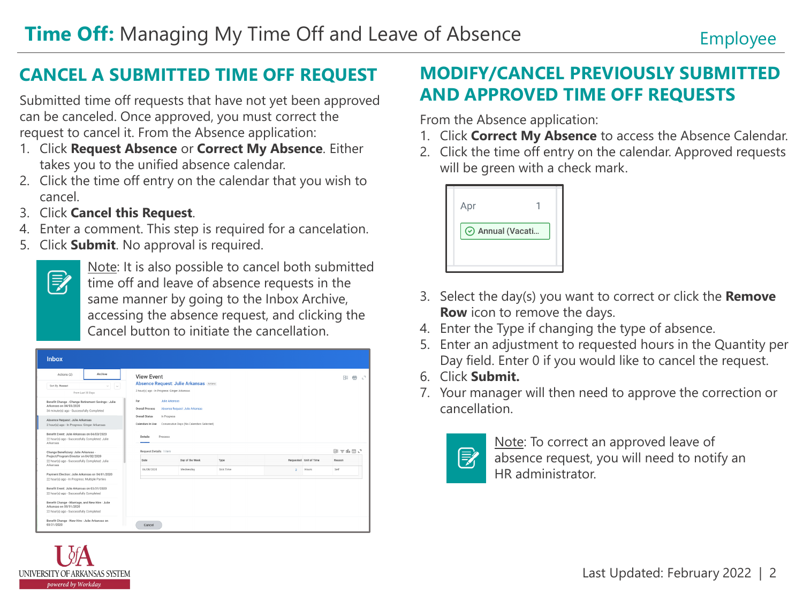### **CANCEL A SUBMITTED TIME OFF REQUEST**

Submitted time off requests that have not yet been approved can be canceled. Once approved, you must correct the request to cancel it. From the Absence application:

- 1. Click **Request Absence** or **Correct My Absence**. Either takes you to the unified absence calendar.
- 2. Click the time off entry on the calendar that you wish to cancel.
- 3. Click **Cancel this Request**.
- 4. Enter a comment. This step is required for a cancelation.
- 5. Click **Submit**. No approval is required.

| c<br>с<br>с<br>$\overline{\phantom{0}}$ |
|-----------------------------------------|
|                                         |

UNIVERSITY OF ARKANSAS SYSTEM powered by Workday

Note: It is also possible to cancel both submitted time off and leave of absence requests in the same manner by going to the Inbox Archive, accessing the absence request, and clicking the Cancel button to initiate the cancellation.

| <b>Inbox</b>                                                                                                                                                                                                                                                                                                                                                  |         |                                                                                                |                                          |           |          |                        |                          |  |  |
|---------------------------------------------------------------------------------------------------------------------------------------------------------------------------------------------------------------------------------------------------------------------------------------------------------------------------------------------------------------|---------|------------------------------------------------------------------------------------------------|------------------------------------------|-----------|----------|------------------------|--------------------------|--|--|
| Actions (2)                                                                                                                                                                                                                                                                                                                                                   | Archive | <b>View Event</b>                                                                              |                                          |           |          |                        | 帶<br>$\mathbb{C}^2$<br>阻 |  |  |
| Sort By: Newest<br>$\vee$<br>$ \vee $<br>From Last 30 Days                                                                                                                                                                                                                                                                                                    |         | <b>Absence Request: Julie Arkansas Actions</b><br>2 hour(s) ago - In Progress: Ginger Arkansas |                                          |           |          |                        |                          |  |  |
| Benefit Change - Change Retirement Savings : Julie<br>Arkansas on 04/03/2020<br>34 minute(s) ago - Successfully Completed                                                                                                                                                                                                                                     |         | For<br><b>Julie Arkansas</b><br><b>Overall Process</b><br>Absence Request: Julie Arkansas      |                                          |           |          |                        |                          |  |  |
| Absence Request: Julie Arkansas<br>2 hour(s) ago - In Progress: Ginger Arkansas                                                                                                                                                                                                                                                                               |         | Overall Status<br>In Progress<br>Calendars In Use                                              | Consecutive Days (No Calendars Selected) |           |          |                        |                          |  |  |
| Benefit Event: Julie Arkansas on 04/03/2020<br>22 hour(s) ago - Successfully Completed: Julie<br>Arkansas<br>Change Beneficiary: Julie Arkansas -<br>Project/Program Director on 04/02/2020<br>22 hour(s) ago - Successfully Completed: Julie<br>Arkansas<br>Payment Election: Julie Arkansas on 04/01/2020<br>22 hour(s) ago - In Progress: Multiple Parties |         | Details<br>Process                                                                             |                                          |           |          |                        |                          |  |  |
|                                                                                                                                                                                                                                                                                                                                                               |         | Request Details 1 item<br>Date                                                                 | Day of the Week<br>Type                  |           |          | Requested Unit of Time | 图支出品に<br>Reason          |  |  |
|                                                                                                                                                                                                                                                                                                                                                               |         | 04/08/2020                                                                                     | Wednesday                                | Sick Time | $\sigma$ | Hours                  | Self                     |  |  |
| Benefit Event: Julie Arkansas on 03/31/2020<br>22 hour(s) ago - Successfully Completed                                                                                                                                                                                                                                                                        |         |                                                                                                |                                          |           |          |                        |                          |  |  |
| Benefit Change - Marriage, and New Hire : Julie<br>Arkansas on 03/31/2020<br>22 hour(s) ago - Successfully Completed                                                                                                                                                                                                                                          |         |                                                                                                |                                          |           |          |                        |                          |  |  |
| Benefit Change - New Hire : Julie Arkansas on<br>03/31/2020                                                                                                                                                                                                                                                                                                   |         | Cancel                                                                                         |                                          |           |          |                        |                          |  |  |

## **MODIFY/CANCEL PREVIOUSLY SUBMITTED AND APPROVED TIME OFF REQUESTS**

From the Absence application:

- 1. Click **Correct My Absence** to access the Absence Calendar.
- 2. Click the time off entry on the calendar. Approved requests will be green with a check mark.



- 3. Select the day(s) you want to correct or click the **Remove Row** icon to remove the days.
- 4. Enter the Type if changing the type of absence.
- 5. Enter an adjustment to requested hours in the Quantity per Day field. Enter 0 if you would like to cancel the request.
- 6. Click **Submit.**
- 7. Your manager will then need to approve the correction or cancellation.



Note: To correct an approved leave of absence request, you will need to notify an HR administrator.